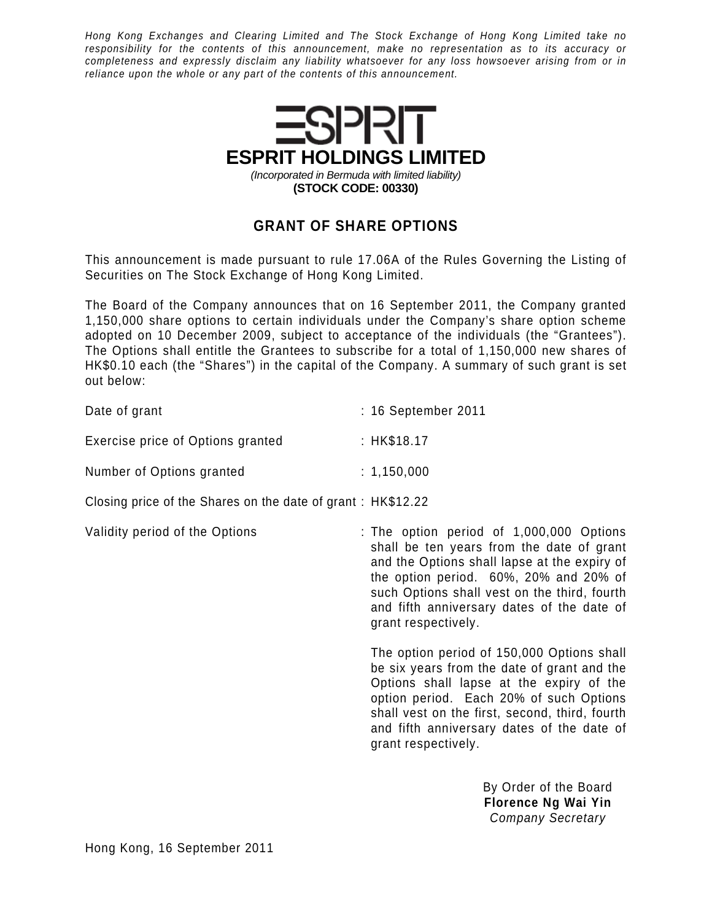Hong Kong Exchanges and Clearing Limited and The Stock Exchange of Hong Kong Limited take no responsibility for the contents of this announcement, make no representation as to its accuracy or completeness and expressly disclaim any liability whatsoever for any loss howsoever arising from or in reliance upon the whole or any part of the contents of this announcement.



## **GRANT OF SHARE OPTIONS**

This announcement is made pursuant to rule 17.06A of the Rules Governing the Listing of Securities on The Stock Exchange of Hong Kong Limited.

The Board of the Company announces that on 16 September 2011, the Company granted 1,150,000 share options to certain individuals under the Company's share option scheme adopted on 10 December 2009, subject to acceptance of the individuals (the "Grantees"). The Options shall entitle the Grantees to subscribe for a total of 1,150,000 new shares of HK\$0.10 each (the "Shares") in the capital of the Company. A summary of such grant is set out below:

| Date of grant                                               | : 16 September 2011                                                                                                                                                                                                                                                                                     |
|-------------------------------------------------------------|---------------------------------------------------------------------------------------------------------------------------------------------------------------------------------------------------------------------------------------------------------------------------------------------------------|
| Exercise price of Options granted                           | : HK\$18.17                                                                                                                                                                                                                                                                                             |
| Number of Options granted                                   | : 1,150,000                                                                                                                                                                                                                                                                                             |
| Closing price of the Shares on the date of grant: HK\$12.22 |                                                                                                                                                                                                                                                                                                         |
| Validity period of the Options                              | : The option period of 1,000,000 Options<br>shall be ten years from the date of grant<br>and the Options shall lapse at the expiry of<br>the option period. 60%, 20% and 20% of<br>such Options shall vest on the third, fourth<br>and fifth anniversary dates of the date of<br>grant respectively.    |
|                                                             | The option period of 150,000 Options shall<br>be six years from the date of grant and the<br>Options shall lapse at the expiry of the<br>option period. Each 20% of such Options<br>shall vest on the first, second, third, fourth<br>and fifth anniversary dates of the date of<br>grant respectively. |
|                                                             | By Order of the Board                                                                                                                                                                                                                                                                                   |

**Florence Ng Wai Yin**  Company Secretary